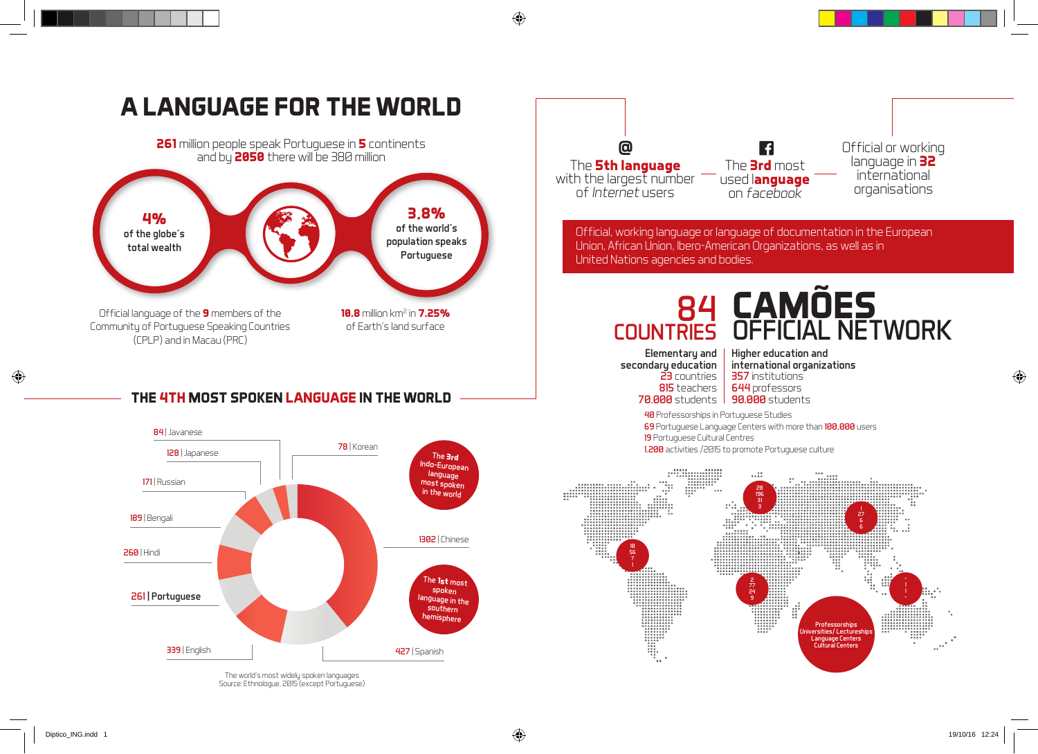